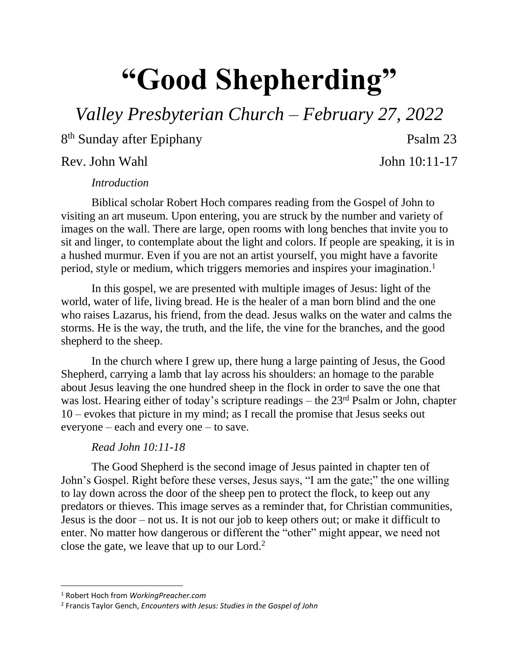## **"Good Shepherding"**

*Valley Presbyterian Church – February 27, 2022*

8<sup>th</sup> Sunday after Epiphany **Psalm 23** 

Rev. John Wahl John 10:11-17

## *Introduction*

Biblical scholar Robert Hoch compares reading from the Gospel of John to visiting an art museum. Upon entering, you are struck by the number and variety of images on the wall. There are large, open rooms with long benches that invite you to sit and linger, to contemplate about the light and colors. If people are speaking, it is in a hushed murmur. Even if you are not an artist yourself, you might have a favorite period, style or medium, which triggers memories and inspires your imagination.<sup>1</sup>

In this gospel, we are presented with multiple images of Jesus: light of the world, water of life, living bread. He is the healer of a man born blind and the one who raises Lazarus, his friend, from the dead. Jesus walks on the water and calms the storms. He is the way, the truth, and the life, the vine for the branches, and the good shepherd to the sheep.

In the church where I grew up, there hung a large painting of Jesus, the Good Shepherd, carrying a lamb that lay across his shoulders: an homage to the parable about Jesus leaving the one hundred sheep in the flock in order to save the one that was lost. Hearing either of today's scripture readings – the 23<sup>rd</sup> Psalm or John, chapter 10 – evokes that picture in my mind; as I recall the promise that Jesus seeks out everyone – each and every one – to save.

## *Read John 10:11-18*

The Good Shepherd is the second image of Jesus painted in chapter ten of John's Gospel. Right before these verses, Jesus says, "I am the gate;" the one willing to lay down across the door of the sheep pen to protect the flock, to keep out any predators or thieves. This image serves as a reminder that, for Christian communities, Jesus is the door – not us. It is not our job to keep others out; or make it difficult to enter. No matter how dangerous or different the "other" might appear, we need not close the gate, we leave that up to our Lord. $2$ 

l

<sup>1</sup> Robert Hoch from *WorkingPreacher.com*

<sup>2</sup> Francis Taylor Gench, *Encounters with Jesus: Studies in the Gospel of John*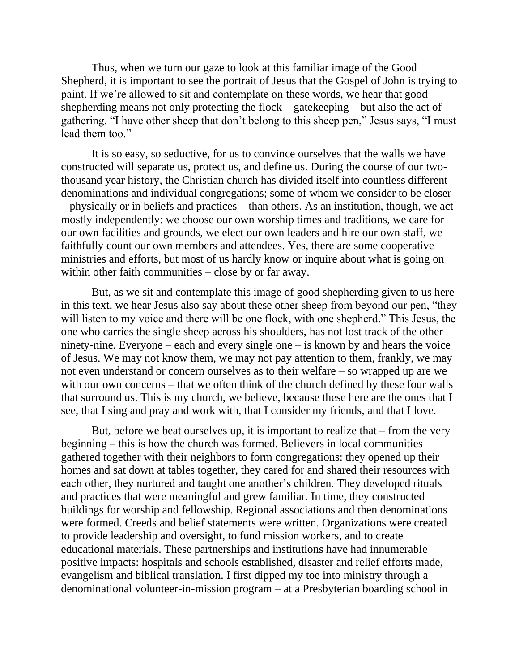Thus, when we turn our gaze to look at this familiar image of the Good Shepherd, it is important to see the portrait of Jesus that the Gospel of John is trying to paint. If we're allowed to sit and contemplate on these words, we hear that good shepherding means not only protecting the flock – gatekeeping – but also the act of gathering. "I have other sheep that don't belong to this sheep pen," Jesus says, "I must lead them too."

It is so easy, so seductive, for us to convince ourselves that the walls we have constructed will separate us, protect us, and define us. During the course of our twothousand year history, the Christian church has divided itself into countless different denominations and individual congregations; some of whom we consider to be closer – physically or in beliefs and practices – than others. As an institution, though, we act mostly independently: we choose our own worship times and traditions, we care for our own facilities and grounds, we elect our own leaders and hire our own staff, we faithfully count our own members and attendees. Yes, there are some cooperative ministries and efforts, but most of us hardly know or inquire about what is going on within other faith communities – close by or far away.

But, as we sit and contemplate this image of good shepherding given to us here in this text, we hear Jesus also say about these other sheep from beyond our pen, "they will listen to my voice and there will be one flock, with one shepherd." This Jesus, the one who carries the single sheep across his shoulders, has not lost track of the other ninety-nine. Everyone – each and every single one – is known by and hears the voice of Jesus. We may not know them, we may not pay attention to them, frankly, we may not even understand or concern ourselves as to their welfare – so wrapped up are we with our own concerns – that we often think of the church defined by these four walls that surround us. This is my church, we believe, because these here are the ones that I see, that I sing and pray and work with, that I consider my friends, and that I love.

But, before we beat ourselves up, it is important to realize that – from the very beginning – this is how the church was formed. Believers in local communities gathered together with their neighbors to form congregations: they opened up their homes and sat down at tables together, they cared for and shared their resources with each other, they nurtured and taught one another's children. They developed rituals and practices that were meaningful and grew familiar. In time, they constructed buildings for worship and fellowship. Regional associations and then denominations were formed. Creeds and belief statements were written. Organizations were created to provide leadership and oversight, to fund mission workers, and to create educational materials. These partnerships and institutions have had innumerable positive impacts: hospitals and schools established, disaster and relief efforts made, evangelism and biblical translation. I first dipped my toe into ministry through a denominational volunteer-in-mission program – at a Presbyterian boarding school in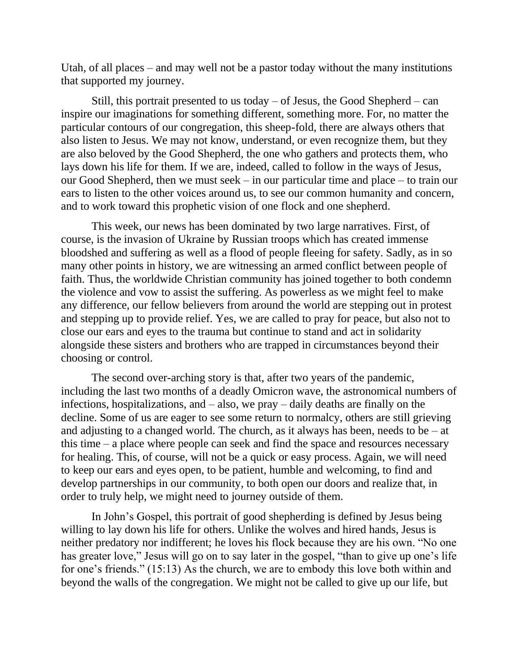Utah, of all places – and may well not be a pastor today without the many institutions that supported my journey.

Still, this portrait presented to us today  $-$  of Jesus, the Good Shepherd  $-$  can inspire our imaginations for something different, something more. For, no matter the particular contours of our congregation, this sheep-fold, there are always others that also listen to Jesus. We may not know, understand, or even recognize them, but they are also beloved by the Good Shepherd, the one who gathers and protects them, who lays down his life for them. If we are, indeed, called to follow in the ways of Jesus, our Good Shepherd, then we must seek – in our particular time and place – to train our ears to listen to the other voices around us, to see our common humanity and concern, and to work toward this prophetic vision of one flock and one shepherd.

This week, our news has been dominated by two large narratives. First, of course, is the invasion of Ukraine by Russian troops which has created immense bloodshed and suffering as well as a flood of people fleeing for safety. Sadly, as in so many other points in history, we are witnessing an armed conflict between people of faith. Thus, the worldwide Christian community has joined together to both condemn the violence and vow to assist the suffering. As powerless as we might feel to make any difference, our fellow believers from around the world are stepping out in protest and stepping up to provide relief. Yes, we are called to pray for peace, but also not to close our ears and eyes to the trauma but continue to stand and act in solidarity alongside these sisters and brothers who are trapped in circumstances beyond their choosing or control.

The second over-arching story is that, after two years of the pandemic, including the last two months of a deadly Omicron wave, the astronomical numbers of infections, hospitalizations, and – also, we pray – daily deaths are finally on the decline. Some of us are eager to see some return to normalcy, others are still grieving and adjusting to a changed world. The church, as it always has been, needs to be – at this time – a place where people can seek and find the space and resources necessary for healing. This, of course, will not be a quick or easy process. Again, we will need to keep our ears and eyes open, to be patient, humble and welcoming, to find and develop partnerships in our community, to both open our doors and realize that, in order to truly help, we might need to journey outside of them.

In John's Gospel, this portrait of good shepherding is defined by Jesus being willing to lay down his life for others. Unlike the wolves and hired hands, Jesus is neither predatory nor indifferent; he loves his flock because they are his own. "No one has greater love," Jesus will go on to say later in the gospel, "than to give up one's life for one's friends." (15:13) As the church, we are to embody this love both within and beyond the walls of the congregation. We might not be called to give up our life, but